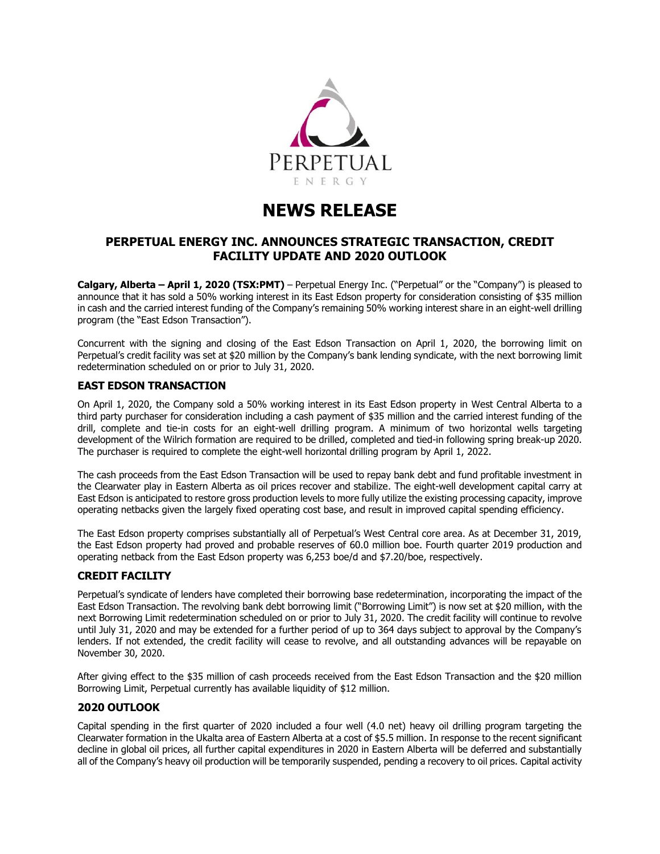

# **NEWS RELEASE**

## **PERPETUAL ENERGY INC. ANNOUNCES STRATEGIC TRANSACTION, CREDIT FACILITY UPDATE AND 2020 OUTLOOK**

**Calgary, Alberta – April 1, 2020 (TSX:PMT)** – Perpetual Energy Inc. ("Perpetual" or the "Company") is pleased to announce that it has sold a 50% working interest in its East Edson property for consideration consisting of \$35 million in cash and the carried interest funding of the Company's remaining 50% working interest share in an eight-well drilling program (the "East Edson Transaction").

Concurrent with the signing and closing of the East Edson Transaction on April 1, 2020, the borrowing limit on Perpetual's credit facility was set at \$20 million by the Company's bank lending syndicate, with the next borrowing limit redetermination scheduled on or prior to July 31, 2020.

## **EAST EDSON TRANSACTION**

On April 1, 2020, the Company sold a 50% working interest in its East Edson property in West Central Alberta to a third party purchaser for consideration including a cash payment of \$35 million and the carried interest funding of the drill, complete and tie-in costs for an eight-well drilling program. A minimum of two horizontal wells targeting development of the Wilrich formation are required to be drilled, completed and tied-in following spring break-up 2020. The purchaser is required to complete the eight-well horizontal drilling program by April 1, 2022.

The cash proceeds from the East Edson Transaction will be used to repay bank debt and fund profitable investment in the Clearwater play in Eastern Alberta as oil prices recover and stabilize. The eight-well development capital carry at East Edson is anticipated to restore gross production levels to more fully utilize the existing processing capacity, improve operating netbacks given the largely fixed operating cost base, and result in improved capital spending efficiency.

The East Edson property comprises substantially all of Perpetual's West Central core area. As at December 31, 2019, the East Edson property had proved and probable reserves of 60.0 million boe. Fourth quarter 2019 production and operating netback from the East Edson property was 6,253 boe/d and \$7.20/boe, respectively.

## **CREDIT FACILITY**

Perpetual's syndicate of lenders have completed their borrowing base redetermination, incorporating the impact of the East Edson Transaction. The revolving bank debt borrowing limit ("Borrowing Limit") is now set at \$20 million, with the next Borrowing Limit redetermination scheduled on or prior to July 31, 2020. The credit facility will continue to revolve until July 31, 2020 and may be extended for a further period of up to 364 days subject to approval by the Company's lenders. If not extended, the credit facility will cease to revolve, and all outstanding advances will be repayable on November 30, 2020.

After giving effect to the \$35 million of cash proceeds received from the East Edson Transaction and the \$20 million Borrowing Limit, Perpetual currently has available liquidity of \$12 million.

## **2020 OUTLOOK**

Capital spending in the first quarter of 2020 included a four well (4.0 net) heavy oil drilling program targeting the Clearwater formation in the Ukalta area of Eastern Alberta at a cost of \$5.5 million. In response to the recent significant decline in global oil prices, all further capital expenditures in 2020 in Eastern Alberta will be deferred and substantially all of the Company's heavy oil production will be temporarily suspended, pending a recovery to oil prices. Capital activity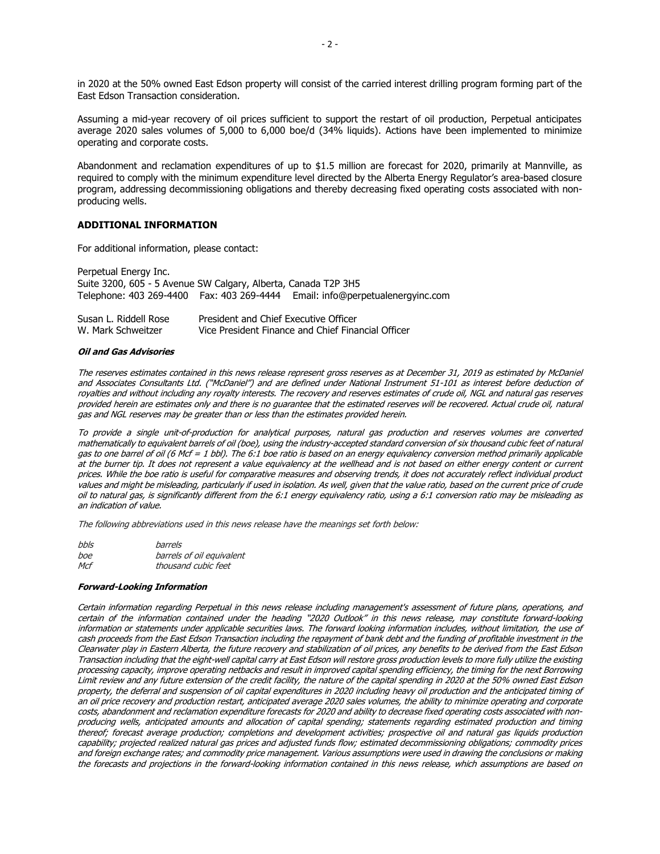in 2020 at the 50% owned East Edson property will consist of the carried interest drilling program forming part of the East Edson Transaction consideration.

Assuming a mid-year recovery of oil prices sufficient to support the restart of oil production, Perpetual anticipates average 2020 sales volumes of 5,000 to 6,000 boe/d (34% liquids). Actions have been implemented to minimize operating and corporate costs.

Abandonment and reclamation expenditures of up to \$1.5 million are forecast for 2020, primarily at Mannville, as required to comply with the minimum expenditure level directed by the Alberta Energy Regulator's area-based closure program, addressing decommissioning obligations and thereby decreasing fixed operating costs associated with nonproducing wells.

### **ADDITIONAL INFORMATION**

For additional information, please contact:

Perpetual Energy Inc. Suite 3200, 605 - 5 Avenue SW Calgary, Alberta, Canada T2P 3H5 Telephone: 403 269-4400 Fax: 403 269-4444 Email: info@perpetualenergyinc.com

| Susan L. Riddell Rose | President and Chief Executive Officer              |
|-----------------------|----------------------------------------------------|
| W. Mark Schweitzer    | Vice President Finance and Chief Financial Officer |

#### **Oil and Gas Advisories**

The reserves estimates contained in this news release represent gross reserves as at December 31, 2019 as estimated by McDaniel and Associates Consultants Ltd. ("McDaniel") and are defined under National Instrument 51-101 as interest before deduction of royalties and without including any royalty interests. The recovery and reserves estimates of crude oil, NGL and natural gas reserves provided herein are estimates only and there is no guarantee that the estimated reserves will be recovered. Actual crude oil, natural gas and NGL reserves may be greater than or less than the estimates provided herein.

To provide a single unit-of-production for analytical purposes, natural gas production and reserves volumes are converted mathematically to equivalent barrels of oil (boe), using the industry-accepted standard conversion of six thousand cubic feet of natural gas to one barrel of oil (6 Mcf = 1 bbl). The 6:1 boe ratio is based on an energy equivalency conversion method primarily applicable at the burner tip. It does not represent a value equivalency at the wellhead and is not based on either energy content or current prices. While the boe ratio is useful for comparative measures and observing trends, it does not accurately reflect individual product values and might be misleading, particularly if used in isolation. As well, given that the value ratio, based on the current price of crude oil to natural gas, is significantly different from the 6:1 energy equivalency ratio, using a 6:1 conversion ratio may be misleading as an indication of value.

The following abbreviations used in this news release have the meanings set forth below:

| bbls | barrels                   |
|------|---------------------------|
| boe  | barrels of oil equivalent |
| Mcf  | thousand cubic feet       |

#### **Forward-Looking Information**

Certain information regarding Perpetual in this news release including management's assessment of future plans, operations, and certain of the information contained under the heading "2020 Outlook" in this news release, may constitute forward-looking information or statements under applicable securities laws. The forward looking information includes, without limitation, the use of cash proceeds from the East Edson Transaction including the repayment of bank debt and the funding of profitable investment in the Clearwater play in Eastern Alberta, the future recovery and stabilization of oil prices, any benefits to be derived from the East Edson Transaction including that the eight-well capital carry at East Edson will restore gross production levels to more fully utilize the existing processing capacity, improve operating netbacks and result in improved capital spending efficiency, the timing for the next Borrowing Limit review and any future extension of the credit facility, the nature of the capital spending in 2020 at the 50% owned East Edson property, the deferral and suspension of oil capital expenditures in 2020 including heavy oil production and the anticipated timing of an oil price recovery and production restart, anticipated average 2020 sales volumes, the ability to minimize operating and corporate costs, abandonment and reclamation expenditure forecasts for 2020 and ability to decrease fixed operating costs associated with nonproducing wells, anticipated amounts and allocation of capital spending; statements regarding estimated production and timing thereof; forecast average production; completions and development activities; prospective oil and natural gas liquids production capability; projected realized natural gas prices and adjusted funds flow; estimated decommissioning obligations; commodity prices and foreign exchange rates; and commodity price management. Various assumptions were used in drawing the conclusions or making the forecasts and projections in the forward-looking information contained in this news release, which assumptions are based on